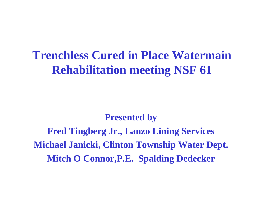#### **Trenchless Cured in Place Watermain Rehabilitation meeting NSF 61**

#### **Presented by**

**Fred Tingberg Jr., Lanzo Lining Services Michael Janicki, Clinton Township Water Dept. Mitch O Connor,P.E. Spalding Dedecker**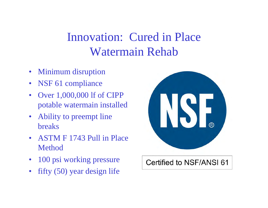### Innovation: Cured in Place Watermain Rehab

- •Minimum disruption
- •NSF 61 compliance
- • Over 1,000,000 lf of CIPP potable watermain installed
- $\bullet$  Ability to preempt line breaks
- ASTM F 1743 Pull in Place Method
- •100 psi working pressure
- •fifty (50) year design life



Certified to NSF/ANSI 61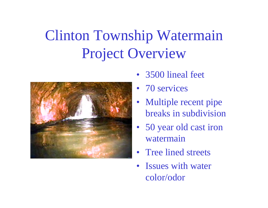# Clinton Township Watermain Project Overview



- •3500 lineal feet
- 70 services
- Multiple recent pipe breaks in subdivision
- 50 year old cast iron watermain
- Tree lined streets
- Issues with water color/odor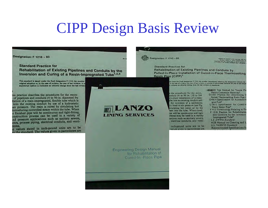### CIPP Design Basis Review

Dealgnation: F 1216 - 93

**Standard Practice for** Rehabilitation of Existing Pipelines and Conduits by the Inversion and Curing of a Resin-Impregnated Tube<sup>1,2,3</sup>

This standard is issued under the fixed designation F 1216; the number original adoption or, in the case of revision, the year of last revision. A as superscript epsilon (c) indicates an editorial change since the last revision

is practice describes the procedures for the reconof pipelines and conduits (4 to 96-in. diameter) by lation of a resin-impregnated, flexible tube which is into the existing conduit by use of a hydrostatic air pressure. The resin is cured by circulating hot introducing controlled steam within the tube. When e finished pipe will be continuous and tight-fitting. pastruction process can be used in a variety of nd pressure applications such as sanitary sewers, vers, process piping, electrical conduits, and ventitems.

e values stated in inch-pound units are to be the standard. The values given in parentheses are



An I

Designation: F 1743 - 96

**Standard Practice for** Rehabilitation of Existing Pipelines and Conduits by Pulled-in-Place Installation of Cured-in-Place Thermosetting Resin Pipe (CIPP)<sup>1</sup>

> ed under the fixed designation F 1743; the number immediately following the designation indicates the in the case of revision, the year of last revision. A number in perceboses indicates the year of last reappear<br>in the case of revision, the year of last revision. A number in perceboses indicates the year of last reappe

the procedures for the reconunduits (4 to 96 in. (10 to 244 in-place installation of a resinube into an existing conduit and the inversion of a calibration tic head or air pressure (see Fig. rculating hot water or by the earn into the tube. When cured, pe will be continuous and tight rocess may be used in a variety cations such as sanitary sewers, electrical conduits, and venti-

inch-pound units are to be values given in parentheses are D 1039 Test Method for Tensile Pro Matrix Composite Materials<sup>1</sup>

- D 3567 Practice for Determining D forced Thermosetting Resin Pipe (
- D 4814 Specification for Automotive gine Fuel<sup>7</sup>
- D 5813 Specification for Cured-in
- **Resin Sewer Pipe** F 412 Terminology Relating to Pla
- F 1216 Practice for Rehabilitation
- and Conduits by the Inversion Impregnated Tube<sup>6</sup>
- 2.2 AWWA Standard:
- M28 Manual on Cleaning and L.
- 2.3 NASSCO Standard:
- Recommended Specifications fo

**Engineering Design Manual** for Rehabilitation of Cured-In -Place Pipe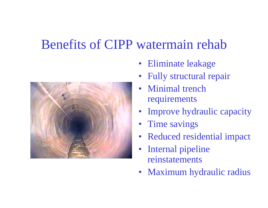### Benefits of CIPP watermain rehab



- Eliminate leakage
- •Fully structural repair
- Minimal trench requirements
- Improve hydraulic capacity
- Time savings
- Reduced residential impact
- Internal pipeline reinstatements
- Maximum hydraulic radius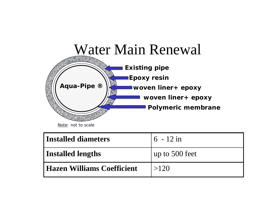

*Note: not to scale*

| <b>Installed diameters</b>        | $6 - 12$ in    |
|-----------------------------------|----------------|
| <b>Installed lengths</b>          | up to 500 feet |
| <b>Hazen Williams Coefficient</b> | >120           |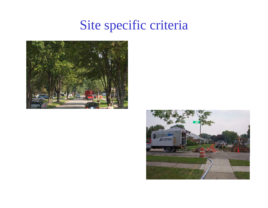### Site specific criteria



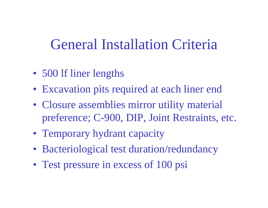### General Installation Criteria

- 500 lf liner lengths
- Excavation pits required at each liner end
- Closure assemblies mirror utility material preference; C-900, DIP, Joint Restraints, etc.
- Temporary hydrant capacity
- Bacteriological test duration/redundancy
- Test pressure in excess of 100 psi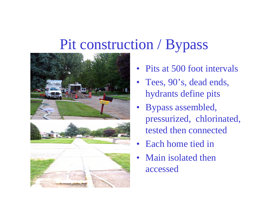### Pit construction / Bypass





- Pits at 500 foot intervals
- Tees, 90's, dead ends, hydrants define pits
- Bypass assembled, pressurized, chlorinated, tested then connected
- Each home tied in
- $\bullet$  Main isolated then accessed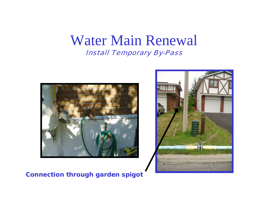#### Water Main Renewal Install Temporary By-Pass





**Connection through garden spigot**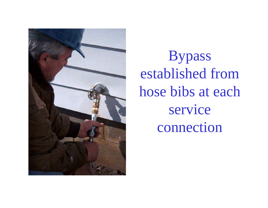

Bypass established from hose bibs at each service connection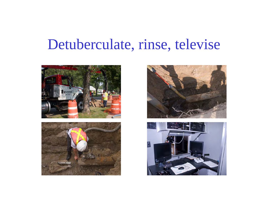#### Detuberculate, rinse, televise







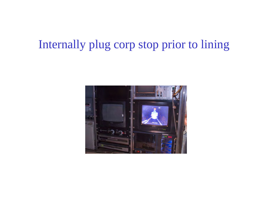#### Internally plug corp stop prior to lining

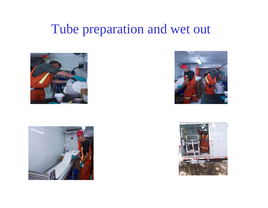#### Tube preparation and wet out







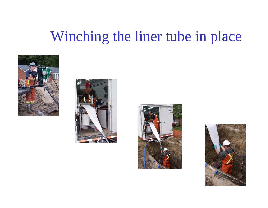## Winching the liner tube in place







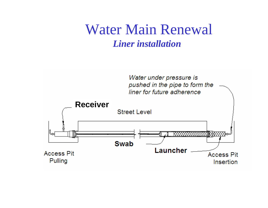#### Water Main Renewal *Liner installation*

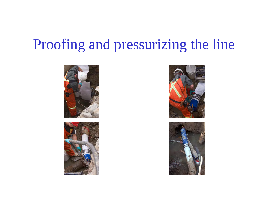### Proofing and pressurizing the line





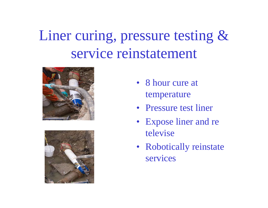# Liner curing, pressure testing & service reinstatement





- 8 hour cure at temperature
- Pressure test liner
- Expose liner and re televise
- Robotically reinstate services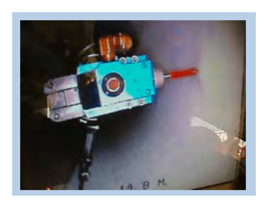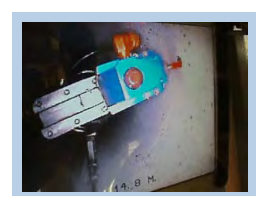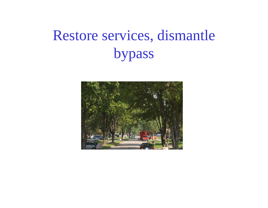# Restore services, dismantle bypass